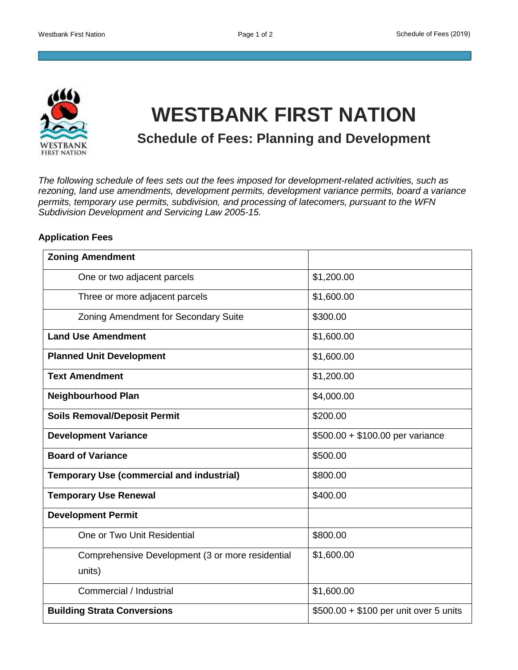

## **WESTBANK FIRST NATION**

**Schedule of Fees: Planning and Development** 

*The following schedule of fees sets out the fees imposed for development-related activities, such as rezoning, land use amendments, development permits, development variance permits, board a variance permits, temporary use permits, subdivision, and processing of latecomers, pursuant to the WFN Subdivision Development and Servicing Law 2005-15.*

## **Application Fees**

| <b>Zoning Amendment</b>                          |                                        |
|--------------------------------------------------|----------------------------------------|
| One or two adjacent parcels                      | \$1,200.00                             |
| Three or more adjacent parcels                   | \$1,600.00                             |
| Zoning Amendment for Secondary Suite             | \$300.00                               |
| <b>Land Use Amendment</b>                        | \$1,600.00                             |
| <b>Planned Unit Development</b>                  | \$1,600.00                             |
| <b>Text Amendment</b>                            | \$1,200.00                             |
| <b>Neighbourhood Plan</b>                        | \$4,000.00                             |
| <b>Soils Removal/Deposit Permit</b>              | \$200.00                               |
| <b>Development Variance</b>                      | \$500.00 + \$100.00 per variance       |
| <b>Board of Variance</b>                         | \$500.00                               |
| <b>Temporary Use (commercial and industrial)</b> | \$800.00                               |
| <b>Temporary Use Renewal</b>                     | \$400.00                               |
| <b>Development Permit</b>                        |                                        |
| One or Two Unit Residential                      | \$800.00                               |
| Comprehensive Development (3 or more residential | \$1,600.00                             |
| units)                                           |                                        |
| Commercial / Industrial                          | \$1,600.00                             |
| <b>Building Strata Conversions</b>               | \$500.00 + \$100 per unit over 5 units |